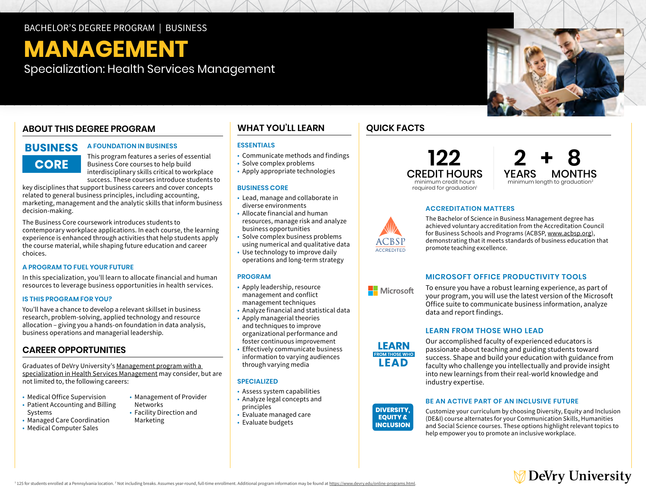# BACHELOR'S DEGREE PROGRAM | BUSINESS

# **MANAGEMENT**

Specialization: Health Services Management

# **ABOUT THIS DEGREE PROGRAM**

# **BUSINESS CORE**

### **A FOUNDATION IN BUSINESS**

This program features a series of essential Business Core courses to help build interdisciplinary skills critical to workplace success. These courses introduce students to

key disciplines that support business careers and cover concepts related to general business principles, including accounting, marketing, management and the analytic skills that inform business decision-making.

 choices. The Business Core coursework introduces students to contemporary workplace applications. In each course, the learning experience is enhanced through activities that help students apply the course material, while shaping future education and career

### **A PROGRAM TO FUEL YOUR FUTURE**

In this specialization, you'll learn to allocate financial and human resources to leverage business opportunities in health services.

### **IS THIS PROGRAM FOR YOU?**

You'll have a chance to develop a relevant skillset in business research, problem-solving, applied technology and resource allocation – giving you a hands-on foundation in data analysis, business operations and managerial leadership.

# **CAREER OPPORTUNITIES**

Graduates of DeVry University's [Management program with a](https://www.devry.edu/online-programs/bachelors-degrees/business/health-services-management-specialization.html)  [specialization in Health Services Management](https://www.devry.edu/online-programs/bachelors-degrees/business/health-services-management-specialization.html) may consider, but are not limited to, the following careers:

- Medical Office Supervision Management of Provider
- Patient Accounting and Billing Metworks Systems • Facility Direction and
- Managed Care Coordination Marketing
- Medical Computer Sales

**WHAT YOU'LL LEARN** 

# **ESSENTIALS**

- Communicate methods and findings
- Solve complex problems
- Apply appropriate technologies

### **BUSINESS CORE**

- • Lead, manage and collaborate in diverse environments
- • Allocate financial and human business opportunities resources, manage risk and analyze
- • Solve complex business problems using numerical and qualitative data
- • Use technology to improve daily operations and long-term strategy

### **PROGRAM**

- • Apply leadership, resource management and conflict management techniques
- Analyze financial and statistical data
- • Apply managerial theories and techniques to improve organizational performance and foster continuous improvement
- • Effectively communicate business information to varying audiences through varying media

### **SPECIALIZED**

- Assess system capabilities
- Analyze legal concepts and principles
- Evaluate managed care
- Evaluate budgets

# **QUICK FACTS**





### **ACCREDITATION MATTERS**

The Bachelor of Science in Business Management degree has achieved voluntary accreditation from the Accreditation Council for Business Schools and Programs (ACBSP, [www.acbsp.org](http://www.acbsp.org)), demonstrating that it meets standards of business education that promote teaching excellence.

### **MICROSOFT OFFICE PRODUCTIVITY TOOLS**

To ensure you have a robust learning experience, as part of your program, you will use the latest version of the Microsoft Office suite to communicate business information, analyze data and report findings.

# **LEARN FROM THOSE WHO LEAD**



Our accomplished faculty of experienced educators is passionate about teaching and guiding students toward success. Shape and build your education with guidance from faculty who challenge you intellectually and provide insight into new learnings from their real-world knowledge and industry expertise.

### **BE AN ACTIVE PART OF AN INCLUSIVE FUTURE**

Customize your curriculum by choosing Diversity, Equity and Inclusion (DE&I) course alternates for your Communication Skills, Humanities and Social Science courses. These options highlight relevant topics to help empower you to promote an inclusive workplace.





CCREDITED

**Nicrosoft**